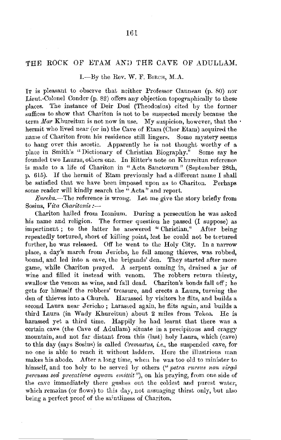## THE ROCK OF ETAM AND THE CAVE OF ADULLAM.

1.-By the Rev. W. F. BIRCH, M.A.

IT is pleasant to observe that neither Professor Ganneau  $(p, 80)$  nor Lieut.-Colonel Conder (p. 82) offers any objection topographically to these places. The instance of Deir Dosi (Theodosius) cited by the former suffices to show that Chariton is not to be suspected merely because the term *Mar* Khureitun is not now in use. My suspicion, however, that the  $\cdot$ hermit who lived near (or in) the Cave of Etam (Chor Etam) acquired the name of Chariton from his residence still lingers. Some mystery seems to hang over this ascetic. Apparently he is not thought worthy of a place in Smith's "Dictionary of Christian Biography." Some say he founded two Lauras, others one. In Ritter's note on Khureitun reference is made to a life of Chariton in "Acta, Sanctorum" (September 28th, p. 615). If the hermit of Etam previously had a different name I shall be satisfied that we have been imposed upon as to Chariton. Perhaps some reader will kindly search the "Acta" and report.

*Eureka.*—The reference is wrong. Let me give the story briefly from Sosius, *Vita Charitonis :*-

Chariton hailed from lconium. During a persecution he was asked his name and religion. The former question he passed (I suppose) as impertinent; to the latter he answered " Christian." After being repeatedly tortured, short of killing point, lest he could not be tortured further, he was released. Off he went to the Holy City. In a narrow place, a day's march from Jericho, he fell among thieves, was robbed, bound, and led into a cave, the brigands' den. They started after more game, while Chariton prayed. A serpent coming in, drained a jar of wine and filled it instead with venom. The robbers return thirsty, swallow the venom as wine, and fall dead. Chariton's bonds fall off; he gets for himself the robbers' treasure, and erects a Laura, turning the den of thieves into a Church. Harassed by visitors he flits, and builds a second Laura near Jericho; harassed again, he flits again, and builds a third Laura (in Wady Khureitun) about 2 miles from Tekoa. He is harassed yet a third time. Happily he had learnt that there was a certain cave (the Cave of Adullam) situate in a precipitous and craggy mountain, and not far distant from this /last) holy Laura, which (cave) to this day (says Sosius) is called *Cremastus*, *i.e.*, the suspended cave, for no one is able to reach it without ladders. Here the illustrious man makes his abode. After a long time, when he was too old to minister to himself, and too holy to be served by others (" *petra rursus non virga percussa sed precatione aquam emittit*"), on his praying, from one side of the cave immediately there gushes out the coldest and purest water, which remains (or flows) to this day, not assuaging thirst only, but also being a perfect proof of the saintliness of Chariton.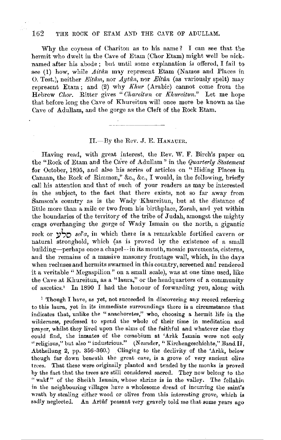## 162 THE ROCK OF ETAM AND THE CAVE OF ADULLAM.

Why the coyness of Chariton as to his name? I can see that the hermit who dwelt in the Cave of Etam (Chor Etam) might well be nicknamed after his abode; but until some explanation is offered, I fail to see (1) how, while *Aitân* may represent Etam (Names and Places in 0. Test.), neither *Eitâm*, nor *Aytân*, nor *Eitân* (as variously spelt) may represent Etam; and (2) why *Khur* (Arabic) cannot come from the Hebrew *Chor.* Ritter gives "Chareitun or *Khureitun.*" Let me hope that before long the Cave of Khureitun will once more be known as the Cave of Adullam, and the gorge as the Cleft of the Rock Etam.

## II.-By the Rev. J. E. HANAUER.

Having read, with great interest, the Rev. W. F. Birch's paper on the "Rock of Etam and the Cave of Adullam" in the *Quarterly Statement* for October, 1895, and also his series of articles on "Hiding Places in Canaan, the Rock of Rimmon," &c., &c., I would, in the following, briefly call his attention and that of such of your readers as may be interested in the subject, to the fact that there exists, not so far away from Samson's country as is the Wady Khureitun, but at the distance of little more than a mile or two from his birthplace, Zorah, and yet within the boundaries of the territory of the tribe of Judah, amongst the mighty crags overhanging the gorge of Wady Ismain on the north, a gigantic rock or **:i,So** *sel'a,* in which thel'e is a remarkable fortified cavern or natural stronghold, which (as is proved by the existence of a small building-perhaps once a chapel--in its mouth, mosaic pavements, cisterns, and the remains of a massive masonry frontage wall, which, iu the days when recluses and hermits swarmed in this country, screened and rendered it a veritable "Megaspilion" on a small scale), was at one time used, like the Cave at Khureitun, as a "lanra," or the headquarters of a community of ascetics.' In 1890 I had the honour of forwarding you, along with

1 Though I have, as yet, not succeeded in discovering any record referring to this laura, yet in its immediate surroundings there is a circumstance that indicates that, unlike the " anachoretes," who, choosing a hermit life in **the**  wilderness, professed to spend the whole of their time in meditation and prayer, whilst they lived upon the alms of the faithful and whatever else they could find, the inmates of the coonobium at 'Arak Ismain were not only "religious," but also "industrious." (Neander, "Kirchengeschichte," Band II, Abtheilung 2, pp. 356-360.) Clinging to the declivity of the 'Arak, below though far down beneath the great cave, is a grove of very ancient olive trees. That these were originally planted and tended by the monks is proved by the fact that the trees are still considered sacred. They now belong to the "wakf" of the Sheikh Ismain, whose shrine is in the valley. The fellahin in the neighbouring villages have a wholesome dread of incurring the saint's wrath by stealing either wood or olives from this interesting grove, which is sadly neglected. An Artûf peasant very gravely told me that some years ago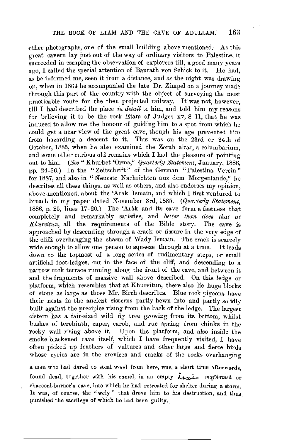other photographs, one of the small building above mentioned. As this gieat cavern lay just out of the way of ordinary visitors to Palestine, it  $s$ ucceeded in escaping the observation of explorers till, a good many years  $a \circ o$ . I called the special attention of Baurath von Schick to it. He had, ago. I called the special attention of Baurath von Schick to it. as he informed me, seen it from a distance, and as the night was drawing on, when in 1864 he accompanied the late Dr. Zimpel on a journey made through this part of the country with the object of surveying the most practicable route for the then projected railway. It was not, however, till I had described the place *in detail* to him, and told him my reasons for believing it to be the rock Etam of Judges xv, 8-11, that he was induced to allow me the honour of guiding him to a spot from which he could get a near view of the great cave, though his age prevented him from hazarding a descent to it. This was on the 23rd er 24th of October, 1885, when he also examined the Zorah altar, a columbariurn, and some other curious old remains which I had the pleasure of pointing out to him. *(See* "Khurbet 'Orma," *Quarterly Statement*, January, 1886, pp. 24-26.) In the "Zeitschrift" of the German "Palestina Verein" for 18S7, and also in "Neueste Nachrichten aus dem Morgenlande," he describes all these things, as well as others, and also endorses my opinion. above-mentioned, about the 'Arak Ismain, and which I first ventured to broach in my paper dated November 3rd, 1885. *(Quarterly Staternent,*  1886, p. 25, lines 17-20.) The 'Arak and its cave form a fastness that completely and remarkably satisfies, and *better than does that at Khureitun*, all the requirements of the Bible story. The cave is approached by descending through a crack or fissure in the very edge of the cliffs overhanging the chasm of \Vady Ismain. The crack is scarcely wide enough to allow one person to squeeze through at a time. It leads down to the topmost of a long series of rudimentary steps, or small artiticial foot-ledges, cut in the face of the cliff, and descending to a narrow rock terrace running along the front of the cave, and between it and the fragments of massive wall above described. On this ledge or platform, which resembles that at Khureitun, there also lie huge blocks of stone as large as those Mr. Birch describes. Blue rock pigeons have their nests in the ancient cisterns partly hewn into and partly solidly built against the precipice rising from the back of the ledge. The largest cistern has a fair-sized wild fig tree growing from its bottom, whilst bushes of terebinth, caper, carob, and rue spring from chinks in the rocky wall rising above it. Upon the platform, and also inside the smoke-blackened cave itself, which I have frequently visited, I have often picked up feathers of vultures and other large and fierce birds whose eyries are in the crevices and cracks of the rocks overhanging

a man who had dared to steal wood from here, was, a short time afterwards. found dead, togethel' with his camel, in an empty ~ *mafkameh* or charcoal-burner's cave, into which he had retreated for shelter during a storm. lt was, of course, the "wcly" that drove him to his destruction, and thus punished the sacrilege of which ho had been guilty.